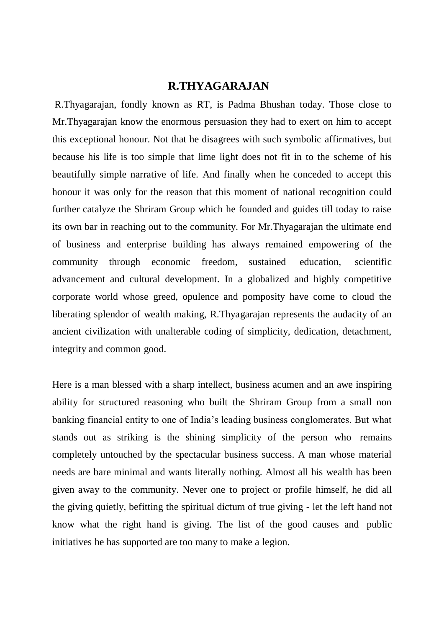### **R.THYAGARAJAN**

R.Thyagarajan, fondly known as RT, is Padma Bhushan today. Those close to Mr.Thyagarajan know the enormous persuasion they had to exert on him to accept this exceptional honour. Not that he disagrees with such symbolic affirmatives, but because his life is too simple that lime light does not fit in to the scheme of his beautifully simple narrative of life. And finally when he conceded to accept this honour it was only for the reason that this moment of national recognition could further catalyze the Shriram Group which he founded and guides till today to raise its own bar in reaching out to the community. For Mr.Thyagarajan the ultimate end of business and enterprise building has always remained empowering of the community through economic freedom, sustained education, scientific advancement and cultural development. In a globalized and highly competitive corporate world whose greed, opulence and pomposity have come to cloud the liberating splendor of wealth making, R.Thyagarajan represents the audacity of an ancient civilization with unalterable coding of simplicity, dedication, detachment, integrity and common good.

Here is a man blessed with a sharp intellect, business acumen and an awe inspiring ability for structured reasoning who built the Shriram Group from a small non banking financial entity to one of India's leading business conglomerates. But what stands out as striking is the shining simplicity of the person who remains completely untouched by the spectacular business success. A man whose material needs are bare minimal and wants literally nothing. Almost all his wealth has been given away to the community. Never one to project or profile himself, he did all the giving quietly, befitting the spiritual dictum of true giving - let the left hand not know what the right hand is giving. The list of the good causes and public initiatives he has supported are too many to make a legion.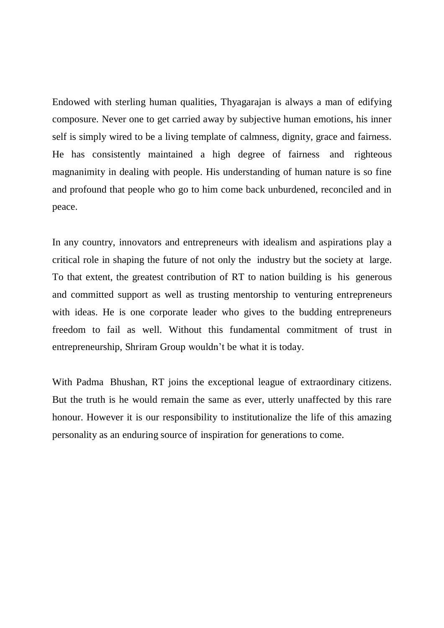Endowed with sterling human qualities, Thyagarajan is always a man of edifying composure. Never one to get carried away by subjective human emotions, his inner self is simply wired to be a living template of calmness, dignity, grace and fairness. He has consistently maintained a high degree of fairness and righteous magnanimity in dealing with people. His understanding of human nature is so fine and profound that people who go to him come back unburdened, reconciled and in peace.

In any country, innovators and entrepreneurs with idealism and aspirations play a critical role in shaping the future of not only the industry but the society at large. To that extent, the greatest contribution of RT to nation building is his generous and committed support as well as trusting mentorship to venturing entrepreneurs with ideas. He is one corporate leader who gives to the budding entrepreneurs freedom to fail as well. Without this fundamental commitment of trust in entrepreneurship, Shriram Group wouldn't be what it is today.

With Padma Bhushan, RT joins the exceptional league of extraordinary citizens. But the truth is he would remain the same as ever, utterly unaffected by this rare honour. However it is our responsibility to institutionalize the life of this amazing personality as an enduring source of inspiration for generations to come.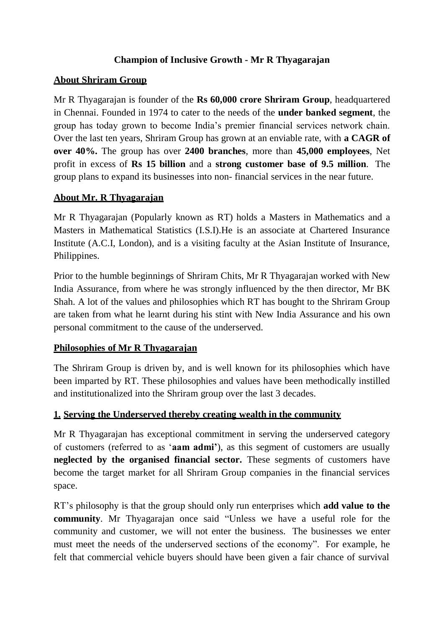### **Champion of Inclusive Growth - Mr R Thyagarajan**

#### **About Shriram Group**

Mr R Thyagarajan is founder of the **Rs 60,000 crore Shriram Group**, headquartered in Chennai. Founded in 1974 to cater to the needs of the **under banked segment**, the group has today grown to become India's premier financial services network chain. Over the last ten years, Shriram Group has grown at an enviable rate, with **a CAGR of over 40%.** The group has over **2400 branches**, more than **45,000 employees**, Net profit in excess of **Rs 15 billion** and a **strong customer base of 9.5 million**. The group plans to expand its businesses into non- financial services in the near future.

### **About Mr. R Thyagarajan**

Mr R Thyagarajan (Popularly known as RT) holds a Masters in Mathematics and a Masters in Mathematical Statistics (I.S.I).He is an associate at Chartered Insurance Institute (A.C.I, London), and is a visiting faculty at the Asian Institute of Insurance, Philippines.

Prior to the humble beginnings of Shriram Chits, Mr R Thyagarajan worked with New India Assurance, from where he was strongly influenced by the then director, Mr BK Shah. A lot of the values and philosophies which RT has bought to the Shriram Group are taken from what he learnt during his stint with New India Assurance and his own personal commitment to the cause of the underserved.

#### **Philosophies of Mr R Thyagarajan**

The Shriram Group is driven by, and is well known for its philosophies which have been imparted by RT. These philosophies and values have been methodically instilled and institutionalized into the Shriram group over the last 3 decades.

### **1. Serving the Underserved thereby creating wealth in the community**

Mr R Thyagarajan has exceptional commitment in serving the underserved category of customers (referred to as '**aam admi'**), as this segment of customers are usually **neglected by the organised financial sector.** These segments of customers have become the target market for all Shriram Group companies in the financial services space.

RT's philosophy is that the group should only run enterprises which **add value to the community**. Mr Thyagarajan once said "Unless we have a useful role for the community and customer, we will not enter the business. The businesses we enter must meet the needs of the underserved sections of the economy". For example, he felt that commercial vehicle buyers should have been given a fair chance of survival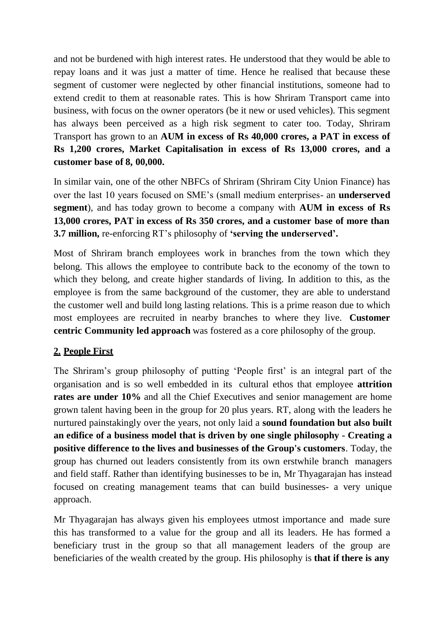and not be burdened with high interest rates. He understood that they would be able to repay loans and it was just a matter of time. Hence he realised that because these segment of customer were neglected by other financial institutions, someone had to extend credit to them at reasonable rates. This is how Shriram Transport came into business, with focus on the owner operators (be it new or used vehicles). This segment has always been perceived as a high risk segment to cater too. Today, Shriram Transport has grown to an **AUM in excess of Rs 40,000 crores, a PAT in excess of Rs 1,200 crores, Market Capitalisation in excess of Rs 13,000 crores, and a customer base of 8, 00,000.**

In similar vain, one of the other NBFCs of Shriram (Shriram City Union Finance) has over the last 10 years focused on SME's (small medium enterprises- an **underserved segment**), and has today grown to become a company with **AUM in excess of Rs 13,000 crores, PAT in excess of Rs 350 crores, and a customer base of more than 3.7 million,** re-enforcing RT's philosophy of **'serving the underserved'.**

Most of Shriram branch employees work in branches from the town which they belong. This allows the employee to contribute back to the economy of the town to which they belong, and create higher standards of living. In addition to this, as the employee is from the same background of the customer, they are able to understand the customer well and build long lasting relations. This is a prime reason due to which most employees are recruited in nearby branches to where they live. **Customer centric Community led approach** was fostered as a core philosophy of the group.

## **2. People First**

The Shriram's group philosophy of putting 'People first' is an integral part of the organisation and is so well embedded in its cultural ethos that employee **attrition rates are under 10%** and all the Chief Executives and senior management are home grown talent having been in the group for 20 plus years. RT, along with the leaders he nurtured painstakingly over the years, not only laid a **sound foundation but also built an edifice of a business model that is driven by one single philosophy - Creating a positive difference to the lives and businesses of the Group's customers**. Today, the group has churned out leaders consistently from its own erstwhile branch managers and field staff. Rather than identifying businesses to be in, Mr Thyagarajan has instead focused on creating management teams that can build businesses- a very unique approach.

Mr Thyagarajan has always given his employees utmost importance and made sure this has transformed to a value for the group and all its leaders. He has formed a beneficiary trust in the group so that all management leaders of the group are beneficiaries of the wealth created by the group. His philosophy is **that if there is any**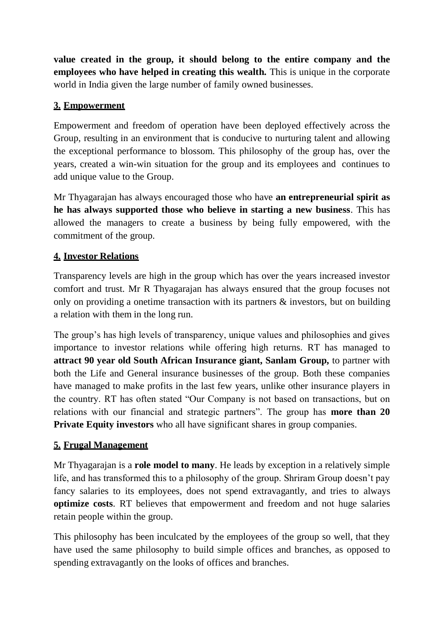**value created in the group, it should belong to the entire company and the employees who have helped in creating this wealth.** This is unique in the corporate world in India given the large number of family owned businesses.

# **3. Empowerment**

Empowerment and freedom of operation have been deployed effectively across the Group, resulting in an environment that is conducive to nurturing talent and allowing the exceptional performance to blossom. This philosophy of the group has, over the years, created a win-win situation for the group and its employees and continues to add unique value to the Group.

Mr Thyagarajan has always encouraged those who have **an entrepreneurial spirit as he has always supported those who believe in starting a new business**. This has allowed the managers to create a business by being fully empowered, with the commitment of the group.

## **4. Investor Relations**

Transparency levels are high in the group which has over the years increased investor comfort and trust. Mr R Thyagarajan has always ensured that the group focuses not only on providing a onetime transaction with its partners  $\&$  investors, but on building a relation with them in the long run.

The group's has high levels of transparency, unique values and philosophies and gives importance to investor relations while offering high returns. RT has managed to **attract 90 year old South African Insurance giant, Sanlam Group,** to partner with both the Life and General insurance businesses of the group. Both these companies have managed to make profits in the last few years, unlike other insurance players in the country. RT has often stated "Our Company is not based on transactions, but on relations with our financial and strategic partners". The group has **more than 20 Private Equity investors** who all have significant shares in group companies.

## **5. Frugal Management**

Mr Thyagarajan is a **role model to many**. He leads by exception in a relatively simple life, and has transformed this to a philosophy of the group. Shriram Group doesn't pay fancy salaries to its employees, does not spend extravagantly, and tries to always **optimize costs**. RT believes that empowerment and freedom and not huge salaries retain people within the group.

This philosophy has been inculcated by the employees of the group so well, that they have used the same philosophy to build simple offices and branches, as opposed to spending extravagantly on the looks of offices and branches.